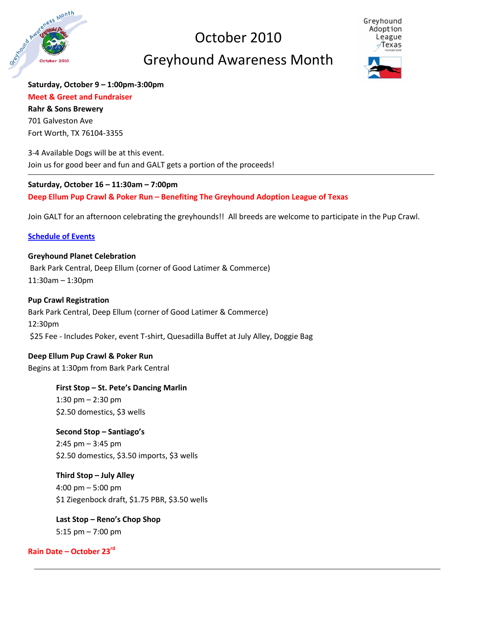

## October 2010

Greyhound Awareness Month



**Saturday, October 9 – 1:00pm-3:00pm**

**Meet & Greet and Fundraiser Rahr & Sons Brewery** 701 Galveston Ave Fort Worth, TX 76104-3355

3-4 Available Dogs will be at this event. Join us for good beer and fun and GALT gets a portion of the proceeds!

## **Saturday, October 16 – 11:30am – 7:00pm**

**Deep Ellum Pup Crawl & Poker Run – Benefiting The Greyhound Adoption League of Texas**

Join GALT for an afternoon celebrating the greyhounds!! All breeds are welcome to participate in the Pup Crawl.

## **Schedule of Events**

**Greyhound Planet Celebration** Bark Park Central, Deep Ellum (corner of Good Latimer & Commerce) 11:30am – 1:30pm

**Pup Crawl Registration** Bark Park Central, Deep Ellum (corner of Good Latimer & Commerce) 12:30pm \$25 Fee - Includes Poker, event T-shirt, Quesadilla Buffet at July Alley, Doggie Bag

**Deep Ellum Pup Crawl & Poker Run** Begins at 1:30pm from Bark Park Central

> **First Stop – St. Pete's Dancing Marlin** 1:30 pm – 2:30 pm \$2.50 domestics, \$3 wells

**Second Stop – Santiago's** 2:45 pm – 3:45 pm \$2.50 domestics, \$3.50 imports, \$3 wells

**Third Stop – July Alley** 4:00 pm – 5:00 pm \$1 Ziegenbock draft, \$1.75 PBR, \$3.50 wells

**Last Stop – Reno's Chop Shop** 5:15 pm – 7:00 pm

**Rain Date – October 23rd**